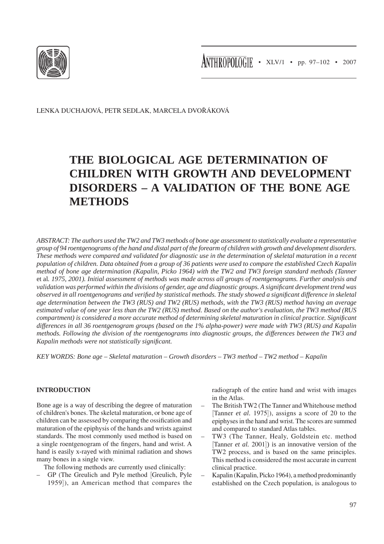

Lenka Duchajová, Petr sedlak, marcela dvořáková

# **The Biological Age Determination of Children with Growth and Development Disorders – A Validation of the Bone Age Methods**

*ABSTRACT: The authors used the TW2 and TW3 methods of bone age assessment to statistically evaluate a representative group of 94 roentgenograms of the hand and distal part of the forearm of children with growth and development disorders. These methods were compared and validated for diagnostic use in the determination of skeletal maturation in a recent population of children. Data obtained from a group of 36 patients were used to compare the established Czech Kapalin method of bone age determination (Kapalin, Picko 1964) with the TW2 and TW3 foreign standard methods (Tanner*  et al*. 1975, 2001). Initial assessment of methods was made across all groups of roentgenograms. Further analysis and validation was performed within the divisions of gender, age and diagnostic groups. A significant development trend was observed in all roentgenograms and verified by statistical methods. The study showed a significant difference in skeletal age determination between the TW3 (RUS) and TW2 (RUS) methods, with the TW3 (RUS) method having an average estimated value of one year less than the TW2 (RUS) method. Based on the author's evaluation, the TW3 method (RUS compartment) is considered a more accurate method of determining skeletal maturation in clinical practice. Significant differences in all 36 roentgenogram groups (based on the 1% alpha-power) were made with TW3 (RUS) and Kapalin methods. Following the division of the roentgenograms into diagnostic groups, the differences between the TW3 and Kapalin methods were not statistically significant.*

*KEY WORDS: Bone age – Skeletal maturation – Growth disorders – TW3 method – TW2 method – Kapalin*

## **Introduction**

Bone age is a way of describing the degree of maturation of children's bones. The skeletal maturation, or bone age of children can be assessed by comparing the ossification and maturation of the epiphysis of the hands and wrists against standards. The most commonly used method is based on a single roentgenogram of the fingers, hand and wrist. A hand is easily x-rayed with minimal radiation and shows many bones in a single view.

The following methods are currently used clinically:

– GP (The Greulich and Pyle method [Greulich, Pyle 1959]), an American method that compares the radiograph of the entire hand and wrist with images in the Atlas.

- The British TW2 (The Tanner and Whitehouse method [Tanner *et al.* 1975]), assigns a score of 20 to the epiphyses in the hand and wrist. The scores are summed and compared to standard Atlas tables.
- TW3 (The Tanner, Healy, Goldstein etc. method [Tanner *et al.* 2001]) is an innovative version of the TW2 process, and is based on the same principles. This method is considered the most accurate in current clinical practice.
- Kapalin (Kapalin, Picko 1964), a method predominantly established on the Czech population, is analogous to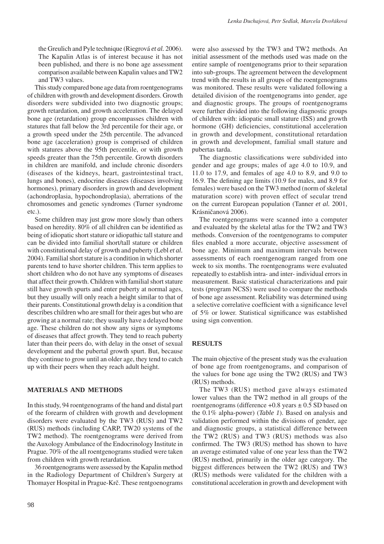the Greulich and Pyle technique (Riegrová *et al.* 2006). The Kapalin Atlas is of interest because it has not been published, and there is no bone age assessment comparison available between Kapalin values and TW2 and TW3 values.

This study compared bone age data from roentgenograms of children with growth and development disorders. Growth disorders were subdivided into two diagnostic groups; growth retardation, and growth acceleration. The delayed bone age (retardation) group encompasses children with statures that fall below the 3rd percentile for their age, or a growth speed under the 25th percentile. The advanced bone age (acceleration) group is comprised of children with statures above the 95th percentile, or with growth speeds greater than the 75th percentile. Growth disorders in children are manifold, and include chronic disorders (diseases of the kidneys, heart, gastrointestinal tract, lungs and bones), endocrine diseases (diseases involving hormones), primary disorders in growth and development (achondroplasia, hypochondroplasia), aberrations of the chromosomes and genetic syndromes (Turner syndrome etc.).

Some children may just grow more slowly than others based on heredity. 80% of all children can be identified as being of idiopatic short stature or idiopathic tall stature and can be divided into familial short/tall stature or children with constitutional delay of growth and puberty (Lebl *et al.* 2004). Familial short stature is a condition in which shorter parents tend to have shorter children. This term applies to short children who do not have any symptoms of diseases that affect their growth. Children with familial short stature still have growth spurts and enter puberty at normal ages, but they usually will only reach a height similar to that of their parents. Constitutional growth delay is a condition that describes children who are small for their ages but who are growing at a normal rate; they usually have a delayed bone age. These children do not show any signs or symptoms of diseases that affect growth. They tend to reach puberty later than their peers do, with delay in the onset of sexual development and the pubertal growth spurt. But, because they continue to grow until an older age, they tend to catch up with their peers when they reach adult height.

#### **materials and methods**

In this study, 94 roentgenograms of the hand and distal part of the forearm of children with growth and development disorders were evaluated by the TW3 (RUS) and TW2 (RUS) methods (including CARP, TW20 systems of the TW2 method). The roentgenograms were derived from the Auxology Ambulance of the Endocrinology Institute in Prague. 70% of the all roentgenograms studied were taken from children with growth retardation.

36 roentgenograms were assessed by the Kapalin method in the Radiology Department of Children's Surgery at Thomayer Hospital in Prague-Krč. These rentgoenograms were also assessed by the TW3 and TW2 methods. An initial assessment of the methods used was made on the entire sample of roentgenograms prior to their separation into sub-groups. The agreement between the development trend with the results in all groups of the roentgenograms was monitored. These results were validated following a detailed division of the roentgenograms into gender, age and diagnostic groups. The groups of roentgenograms were further divided into the following diagnostic groups of children with: idiopatic small stature (ISS) and growth hormone (GH) deficiencies, constitutional acceleration in growth and development, constitutional retardation in growth and development, familial small stature and pubertas tarda.

The diagnostic classifications were subdivided into gender and age groups; males of age 4.0 to 10.9, and 11.0 to 17.9, and females of age 4.0 to 8.9, and 9.0 to 16.9. The defining age limits (10.9 for males, and 8.9 for females) were based on the TW3 method (norm of skeletal maturation score) with proven effect of secular trend on the current European population (Tanner *et al.* 2001, Krásničanová 2006).

The roentgenograms were scanned into a computer and evaluated by the skeletal atlas for the TW2 and TW3 methods. Conversion of the roentgenograms to computer files enabled a more accurate, objective assessment of bone age. Minimum and maximum intervals between assessments of each roentgenogram ranged from one week to six months. The roentgenograms were evaluated repeatedly to establish intra- and inter- individual errors in measurement. Basic statistical characterizations and pair tests (program NCSS) were used to compare the methods of bone age assessment. Reliability was determined using a selective correlative coefficient with a significance level of 5% or lower. Statistical significance was established using sign convention.

#### **RESULTS**

The main objective of the present study was the evaluation of bone age from roentgenograms, and comparison of the values for bone age using the TW2 (RUS) and TW3 (RUS) methods.

The TW3 (RUS) method gave always estimated lower values than the TW2 method in all groups of the roentgenograms (difference  $+0.8$  years  $\pm 0.5$  SD based on the 0.1% alpha-power) (*Table 1*). Based on analysis and validation performed within the divisions of gender, age and diagnostic groups, a statistical difference between the TW2 (RUS) and TW3 (RUS) methods was also confirmed. The TW3 (RUS) method has shown to have an average estimated value of one year less than the TW2 (RUS) method, primarily in the older age category. The biggest differences between the TW2 (RUS) and TW3 (RUS) methods were validated for the children with a constitutional acceleration in growth and development with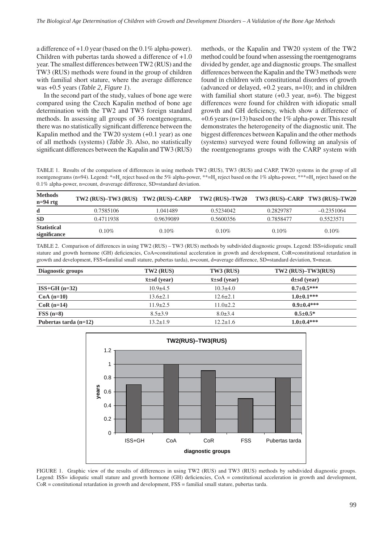a difference of +1.0 year (based on the 0.1% alpha-power). Children with pubertas tarda showed a difference of +1.0 year. The smallest differences between TW2 (RUS) and the TW3 (RUS) methods were found in the group of children with familial short stature, where the average difference was +0.5 years (*Table 2, Figure 1*).

In the second part of the study, values of bone age were compared using the Czech Kapalin method of bone age determination with the TW2 and TW3 foreign standard methods. In assessing all groups of 36 roentgenograms, there was no statistically significant difference between the Kapalin method and the TW20 system (+0.1 year) as one of all methods (systems) (*Table 3*). Also, no statistically significant differences between the Kapalin and TW3 (RUS) methods, or the Kapalin and TW20 system of the TW2 method could be found when assessing the roentgenograms divided by gender, age and diagnostic groups. The smallest differences between the Kapalin and the TW3 methods were found in children with constitutional disorders of growth (advanced or delayed, +0.2 years, n=10); and in children with familial short stature (+0.3 year, n=6). The biggest differences were found for children with idiopatic small growth and GH deficiency, which show a difference of +0.6 years (n=13) based on the 1% alpha-power. This result demonstrates the heterogeneity of the diagnostic unit. The biggest differences between Kapalin and the other methods (systems) surveyed were found following an analysis of the roentgenograms groups with the CARP system with

TABLE 1. Results of the comparison of differences in using methods TW2 (RUS), TW3 (RUS) and CARP, TW20 systems in the group of all roentgenograms (n=94). Legend: \*=H<sub>0</sub> reject based on the 5% alpha-power, \*\*=H<sub>0</sub> reject based on the 1% alpha-power, \*\*\*=H<sub>0</sub> reject based on the 0.1% alpha-power, n=count, d=average difference, SD=standard deviation.

| <b>Methods</b><br>$n=94$ rtg       | $TW2$ (RUS)-TW3 (RUS) TW2 (RUS)-CARP |           | $TW2$ (RUS)-TW20 TW3 (RUS)-CARP TW3 (RUS)-TW20 |           |              |
|------------------------------------|--------------------------------------|-----------|------------------------------------------------|-----------|--------------|
| d                                  | 0.7585106                            | 1.041489  | 0.5234042                                      | 0.2829787 | $-0.2351064$ |
| <b>SD</b>                          | 0.4711938                            | 0.9639089 | 0.5600356                                      | 0.7858477 | 0.5523571    |
| <b>Statistical</b><br>significance | $0.10\%$                             | $0.10\%$  | $0.10\%$                                       | $0.10\%$  | $0.10\%$     |

TABLE 2. Comparison of differences in using TW2 (RUS) – TW3 (RUS) methods by subdivided diagnostic groups. Legend: ISS=idiopatic small stature and growth hormone (GH) deficiencies, CoA=constitutional acceleration in growth and development, CoR=constitutional retardation in growth and development, FSS=familial small stature, pubertas tarda), n=count, d=average difference, SD=standard deviation,  $\overline{x}$ =mean.

| Diagnostic groups       | TW2 (RUS)            | TW3 (RUS)            | $TW2$ (RUS)-TW3(RUS) |  |
|-------------------------|----------------------|----------------------|----------------------|--|
|                         | $\bar{x}$ ±sd (year) | $\bar{x}$ ±sd (year) | $d \pm sd$ (year)    |  |
| $ISS+GH$ (n=32)         | $10.9 + 4.5$         | $10.3 \pm 4.0$       | $0.7 + 0.5$ ***      |  |
| $CoA(n=10)$             | $13.6 \pm 2.1$       | $12.6 \pm 2.1$       | $1.0\pm0.1***$       |  |
| $CoR(n=14)$             | $11.9 \pm 2.5$       | $11.0 \pm 2.2$       | $0.9 + 0.4$ ***      |  |
| $FSS(n=8)$              | $8.5 \pm 3.9$        | $8.0 \pm 3.4$        | $0.5 \pm 0.5*$       |  |
| Pubertas tarda $(n=12)$ | $13.2 \pm 1.9$       | $12.2 \pm 1.6$       | $1.0 \pm 0.4$ ***    |  |



FIGURE 1. Graphic view of the results of differences in using TW2 (RUS) and TW3 (RUS) methods by subdivided diagnostic groups. Legend: ISS= idiopatic small stature and growth hormone (GH) deficiencies, CoA = constitutional acceleration in growth and development, CoR = constitutional retardation in growth and development, FSS = familial small stature, pubertas tarda.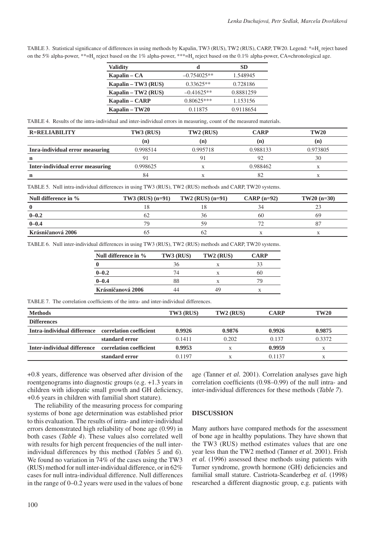TABLE 3. Statistical significance of differences in using methods by Kapalin, TW3 (RUS), TW2 (RUS), CARP, TW20. Legend: \*=H<sub>0</sub> reject based on the 5% alpha-power, \*\*=H<sub>0</sub> reject based on the 1% alpha-power, \*\*\*=H<sub>0</sub> reject based on the 0.1% alpha-power, CA=chronological age.

| <b>Validity</b>        | d             | SD        |
|------------------------|---------------|-----------|
| Kapalin – $CA$         | $-0.754025**$ | 1.548945  |
| Kapalin $- T W3$ (RUS) | $0.33625**$   | 0.728186  |
| Kapalin – TW2 (RUS)    | $-0.41625**$  | 0.8881259 |
| Kapalin – CARP         | $0.80625***$  | 1.153156  |
| Kapalin – TW20         | 0.11875       | 0.9118654 |

TABLE 4. Results of the intra-individual and inter-individual errors in measuring, count of the measured materials.

| <b>R=RELIABILITY</b>             | TW3 (RUS) | $TW2$ (RUS) | <b>CARP</b> | <b>TW20</b> |
|----------------------------------|-----------|-------------|-------------|-------------|
|                                  | (n)       | (n          | (n)         | (n)         |
| Inra-individual error measuring  | 0.998514  | 0.995718    | 0.988133    | 0.973805    |
| n                                |           |             | 92          | 30          |
| Inter-individual error measuring | 0.998625  |             | 0.988462    |             |
|                                  | 84        |             | 82          |             |

TABLE 5. Null intra-individual differences in using TW3 (RUS), TW2 (RUS) methods and CARP, TW20 systems.

| Null difference in $\%$ | $TW3$ (RUS) (n=91) | $TW2$ (RUS) $(n=91)$ | $CARP (n=92)$ | $TW20(n=30)$ |
|-------------------------|--------------------|----------------------|---------------|--------------|
|                         |                    |                      |               |              |
| $0 - 0.2$               |                    |                      | 60            | 69           |
| $0 - 0.4$               | 79.                |                      |               |              |
| Krásničanová 2006       |                    |                      |               |              |

TABLE 6. Null inter-individual differences in using TW3 (RUS), TW2 (RUS) methods and CARP, TW20 systems.

| Null difference in $\%$ | TW3 (RUS) | TW2 (RUS) | CARP |
|-------------------------|-----------|-----------|------|
|                         |           |           | 33   |
| $0 - 0.2$               |           |           | 60   |
| $0 - 0.4$               |           | x         |      |
| Krásničanová 2006       |           | 19        |      |

TABLE 7. The correlation coefficients of the intra- and inter-individual differences.

| <b>Methods</b>                                      |                         | TW3 (RUS) | TW2 (RUS) | <b>CARP</b> | <b>TW20</b> |
|-----------------------------------------------------|-------------------------|-----------|-----------|-------------|-------------|
| <b>Differences</b>                                  |                         |           |           |             |             |
| Intra-individual difference correlation coefficient |                         | 0.9926    | 0.9876    | 0.9926      | 0.9875      |
|                                                     | standard error          | 0.1411    | 0.202     | 0.137       | 0.3372      |
| Inter-individual difference                         | correlation coefficient | 0.9953    |           | 0.9959      |             |
|                                                     | standard error          | 0.1197    |           | 0.1137      |             |

+0.8 years, difference was observed after division of the roentgenograms into diagnostic groups (e.g. +1.3 years in children with idiopatic small growth and GH deficiency, +0.6 years in children with familial short stature).

The reliability of the measuring process for comparing systems of bone age determination was established prior to this evaluation. The results of intra- and inter-individual errors demonstrated high reliability of bone age (0.99) in both cases (*Table 4*). These values also correlated well with results for high percent frequencies of the null interindividual differences by this method (*Tables 5* and *6*). We found no variation in 74% of the cases using the TW3 (RUS) method for null inter-individual difference, or in 62% cases for null intra-individual difference. Null differences in the range of 0–0.2 years were used in the values of bone age (Tanner *et al.* 2001). Correlation analyses gave high correlation coefficients (0.98–0.99) of the null intra- and inter-individual differences for these methods (*Table 7*).

## **DISCUSSION**

Many authors have compared methods for the assessment of bone age in healthy populations. They have shown that the TW3 (RUS) method estimates values that are one year less than the TW2 method (Tanner *et al.* 2001). Frish *et al.* (1996) assessed these methods using patients with Turner syndrome, growth hormone (GH) deficiencies and familial small stature. Castriota-Scanderbeg *et al.* (1998) researched a different diagnostic group, e.g. patients with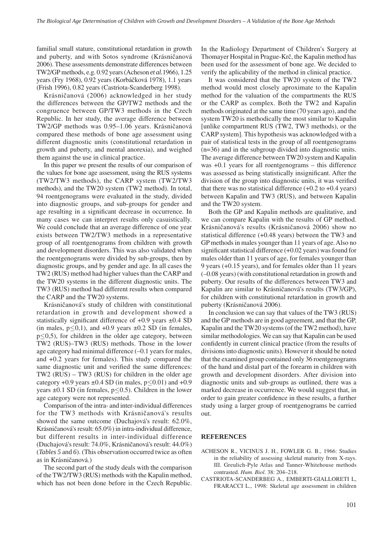familial small stature, constitutional retardation in growth and puberty, and with Sotos syndrome (Krásničanová 2006). These assessments demonstrate differences between TW2/GP methods, e.g. 0.92 years (Acheson *et al.*1966), 1.25 years (Fry 1968), 0.92 years (Korbáčková 1978), 1.1 years (Frish 1996), 0.82 years (Castriota-Scanderberg 1998).

Krásničanová (2006) acknowledged in her study the differences between the GP/TW2 methods and the congruence between GP/TW3 methods in the Czech Republic. In her study, the average difference between TW2/GP methods was 0.95–1.06 years. Krásničanová compared these methods of bone age assessment using different diagnostic units (constitutional retardation in growth and puberty, and mental anorexia), and weighed them against the use in clinical practice.

In this paper we present the results of our comparison of the values for bone age assessment, using the RUS systems (TW2/TW3 methods), the CARP system (TW2/TW3 methods), and the TW20 system (TW2 method). In total, 94 roentgenograms were evaluated in the study, divided into diagnostic groups, and sub-groups for gender and age resulting in a significant decrease in occurrence. In many cases we can interpret results only casuistically. We could conclude that an average difference of one year exists between TW2/TW3 methods in a representative group of all roentgenograms from children with growth and development disorders. This was also validated when the roentgenograms were divided by sub-groups, then by diagnostic groups, and by gender and age. In all cases the TW2 (RUS) method had higher values than the CARP and the TW20 systems in the different diagnostic units. The TW3 (RUS) method had different results when compared the CARP and the TW20 systems.

Krásničanová's study of children with constitutional retardation in growth and development showed a statistically significant difference of +0.9 years ±0.4 SD (in males,  $p \le 0,1$ ), and +0.9 years  $\pm 0.2$  SD (in females, p≤0,5), for children in the older age category, between TW2 (RUS)–TW3 (RUS) methods. Those in the lower age category had minimal difference (–0.1 years for males, and +0.2 years for females). This study compared the same diagnostic unit and verified the same differences: TW2 (RUS) – TW3 (RUS) for children in the older age category +0.9 years  $\pm 0.4$  SD (in males,  $p \le 0.01$ ) and +0.9 years  $\pm 0.1$  SD (in females, p $\leq 0.5$ ). Children in the lower age category were not represented.

Comparison of the intra- and inter-individual differences for the TW3 methods with Krásničanová's results showed the same outcome (Duchajová's result: 62.0%, Krásničanová's result: 65.0%) in intra-individual difference, but different results in inter-individual difference (Duchajová's result: 74.0%, Krásničanová's result: 44.0%) (*Tables 5* and *6*). (This observation occurred twice as often as in Krásničanová.)

The second part of the study deals with the comparison of the TW2/TW3 (RUS) methods with the Kapalin method, which has not been done before in the Czech Republic. In the Radiology Department of Children's Surgery at Thomayer Hospital in Prague-Krč, the Kapalin method has been used for the assessment of bone age. We decided to verify the aplicability of the method in clinical practice.

It was considered that the TW20 system of the TW2 method would most closely aproximate to the Kapalin method for the valuation of the compartments the RUS or the CARP as complex. Both the TW2 and Kapalin methods originated at the same time (70 years ago), and the system TW20 is methodically the most similar to Kapalin [unlike compartment RUS (TW2, TW3 methods), or the CARP system]. This hypothesis was acknowledged with a pair of statistical tests in the group of all roentgenograms (n=36) and in the subgroup divided into diagnostic units. The average difference between TW20 system and Kapalin was +0.1 years for all roentgenograms – this difference was assessed as being statistically insignificant. After the division of the group into diagnostic units, it was verified that there was no statistical difference  $(+0.2$  to  $+0.4$  years) between Kapalin and TW3 (RUS), and between Kapalin and the TW20 system.

Both the GP and Kapalin methods are qualitative, and we can compare Kapalin with the results of GP method. Krásničanová's results (Krásničanová 2006) show no statistical difference (+0.48 years) between the TW3 and GP methods in males younger than 11 years of age. Also no significant statistical difference (+0.02 years) was found for males older than 11 years of age, for females younger than 9 years (+0.15 years), and for females older than 11 years (–0.08 years) (with constitutional retardation in growth and puberty. Our results of the differences between TW3 and Kapalin are similar to Krásničanová's results (TW3/GP), for children with constitutional retardation in growth and puberty (Krásničanová 2006).

In conclusion we can say that values of the TW3 (RUS) and the GP methods are in good agreement, and that the GP, Kapalin and the TW20 systems (of the TW2 method), have similar methodologies. We can say that Kapalin can be used confidently in current clinical practice (from the results of divisions into diagnostic units). However it should be noted that the examined group contained only 36 roentgenograms of the hand and distal part of the forearm in children with growth and development disorders. After division into diagnostic units and sub-groups as outlined, there was a marked decrease in occurrence. We would suggest that, in order to gain greater confidence in these results, a further study using a larger group of roentgenograms be carried out.

#### **REFERENCES**

- ACHESON R., VICINUS J. H., FOWLER G. B., 1966: Studies in the reliability of assessing skeletal maturity from X-rays. III. Greulich-Pyle Atlas and Tanner-Whitehouse methods contrasted. *Hum. Biol.* 38: 204–218.
- CASTRIOTA-SCANDERBEG A., EMBERTI-GIALLORETI L, FRARACCI L., 1998: Skeletal age assessment in children